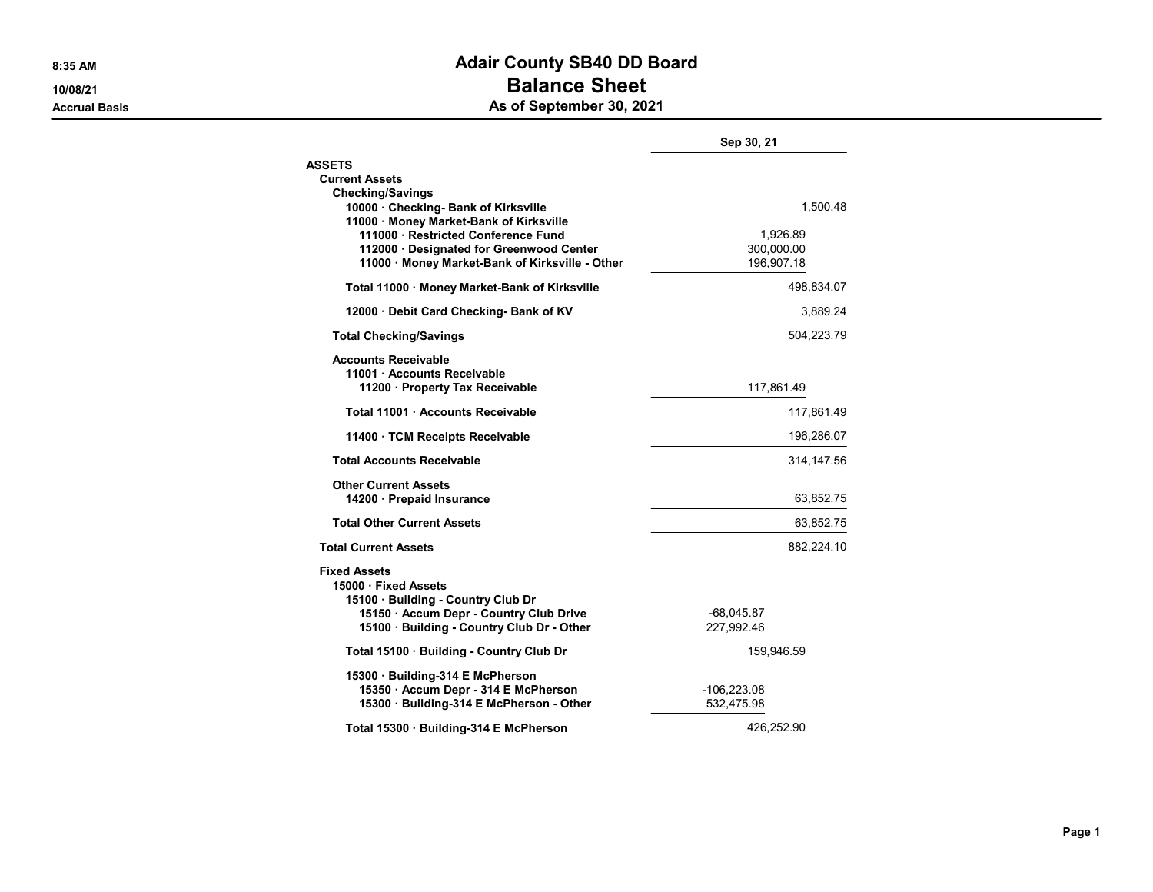## 8:35 AM BOAT AND THE SERVICE OF STREET AND ACAIT COUNTY SEAD DD BOAT COUNTY 10/08/21 and 10/08/21 Accrual Basis **Accrual Basis** As of September 30, 2021

|                                                                                                            | Sep 30, 21   |  |
|------------------------------------------------------------------------------------------------------------|--------------|--|
| <b>ASSETS</b>                                                                                              |              |  |
| <b>Current Assets</b>                                                                                      |              |  |
| <b>Checking/Savings</b><br>10000 · Checking- Bank of Kirksville<br>11000 · Money Market-Bank of Kirksville | 1,500.48     |  |
| 111000 · Restricted Conference Fund                                                                        | 1,926.89     |  |
| 112000 · Designated for Greenwood Center                                                                   | 300,000.00   |  |
| 11000 · Money Market-Bank of Kirksville - Other                                                            | 196,907.18   |  |
| Total 11000 · Money Market-Bank of Kirksville                                                              | 498,834.07   |  |
| 12000 Debit Card Checking- Bank of KV                                                                      | 3,889.24     |  |
| <b>Total Checking/Savings</b>                                                                              | 504,223.79   |  |
| <b>Accounts Receivable</b><br>11001 · Accounts Receivable<br>11200 · Property Tax Receivable               | 117,861.49   |  |
| Total 11001 · Accounts Receivable                                                                          | 117,861.49   |  |
| 11400 · TCM Receipts Receivable                                                                            | 196,286.07   |  |
| <b>Total Accounts Receivable</b>                                                                           | 314, 147.56  |  |
| <b>Other Current Assets</b><br>14200 · Prepaid Insurance                                                   | 63,852.75    |  |
| <b>Total Other Current Assets</b>                                                                          | 63,852.75    |  |
| <b>Total Current Assets</b>                                                                                | 882,224.10   |  |
| <b>Fixed Assets</b><br>15000 · Fixed Assets<br>15100 · Building - Country Club Dr                          |              |  |
| 15150 · Accum Depr - Country Club Drive                                                                    | $-68,045.87$ |  |
| 15100 · Building - Country Club Dr - Other                                                                 | 227,992.46   |  |
| Total 15100 · Building - Country Club Dr                                                                   | 159,946.59   |  |
| 15300 · Building-314 E McPherson                                                                           |              |  |
| 15350 Accum Depr - 314 E McPherson                                                                         | -106,223.08  |  |
| 15300 Building-314 E McPherson - Other                                                                     | 532,475.98   |  |
| Total 15300 · Building-314 E McPherson                                                                     | 426,252.90   |  |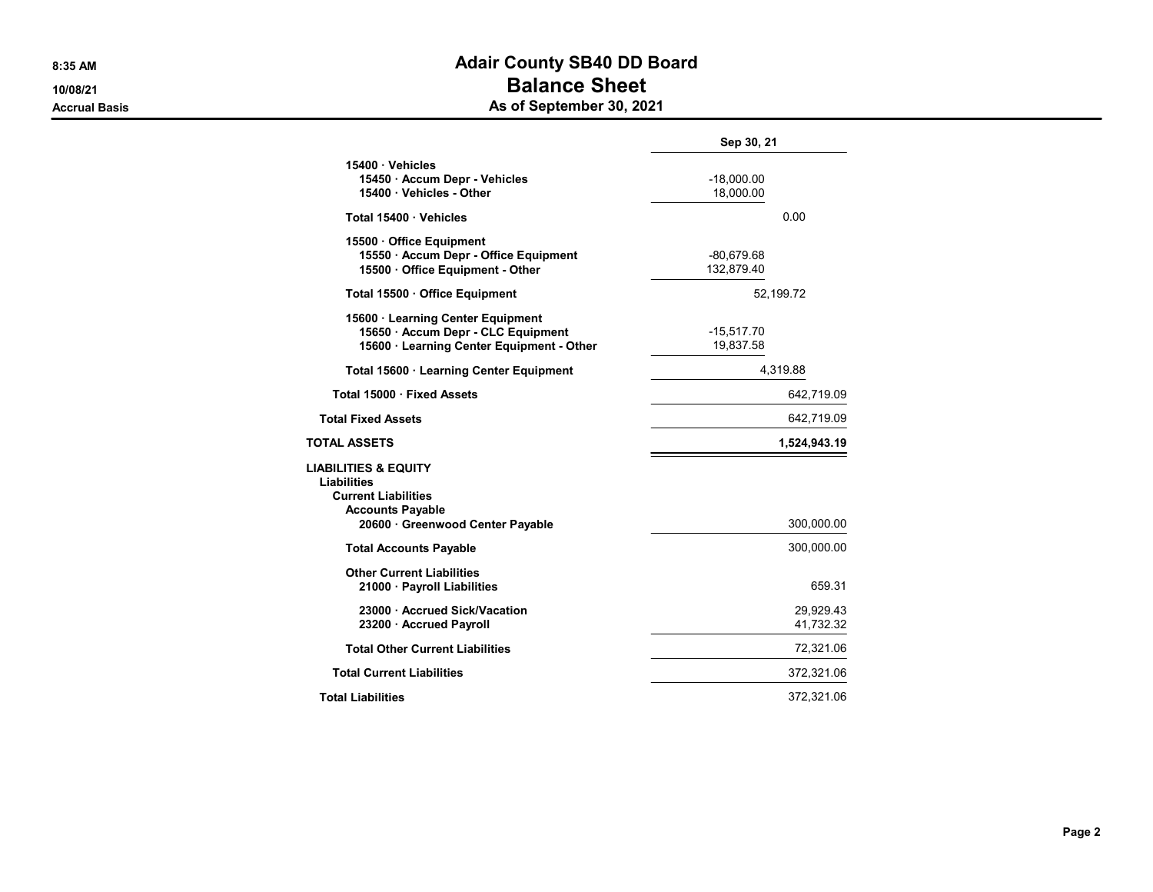## 8:35 AM BOAT AND THE SERVICE OF STREET AND ACAIT COUNTY SEAD DD BOAT COUNTY SERVICE OF STREET AND THE STREET A 10/08/21 and 10/08/21 Accrual Basis **Accrual Basis** As of September 30, 2021

|                                                                                                                                           | Sep 30, 21                 |                        |
|-------------------------------------------------------------------------------------------------------------------------------------------|----------------------------|------------------------|
| 15400 · Vehicles<br>15450 · Accum Depr - Vehicles<br>15400 Vehicles - Other                                                               | $-18,000.00$<br>18.000.00  |                        |
| Total 15400 Vehicles                                                                                                                      | 0.00                       |                        |
| 15500 Office Equipment<br>15550 · Accum Depr - Office Equipment<br>15500 Office Equipment - Other                                         | $-80,679.68$<br>132,879.40 |                        |
| Total 15500 · Office Equipment                                                                                                            | 52,199.72                  |                        |
| 15600 · Learning Center Equipment<br>15650 Accum Depr - CLC Equipment<br>15600 Learning Center Equipment - Other                          | $-15,517.70$<br>19,837.58  |                        |
| Total 15600 · Learning Center Equipment                                                                                                   | 4,319.88                   |                        |
| Total 15000 · Fixed Assets                                                                                                                |                            | 642,719.09             |
| <b>Total Fixed Assets</b>                                                                                                                 |                            | 642,719.09             |
| TOTAL ASSETS                                                                                                                              |                            | 1,524,943.19           |
| <b>LIABILITIES &amp; EQUITY</b><br>Liabilities<br><b>Current Liabilities</b><br><b>Accounts Payable</b><br>20600 Greenwood Center Payable |                            | 300,000.00             |
| <b>Total Accounts Payable</b>                                                                                                             |                            | 300,000.00             |
| <b>Other Current Liabilities</b><br>21000 · Payroll Liabilities                                                                           |                            | 659.31                 |
| 23000 Accrued Sick/Vacation<br>23200 Accrued Payroll                                                                                      |                            | 29,929.43<br>41,732.32 |
| <b>Total Other Current Liabilities</b>                                                                                                    |                            | 72,321.06              |
| <b>Total Current Liabilities</b>                                                                                                          |                            | 372,321.06             |
| <b>Total Liabilities</b>                                                                                                                  |                            | 372,321.06             |